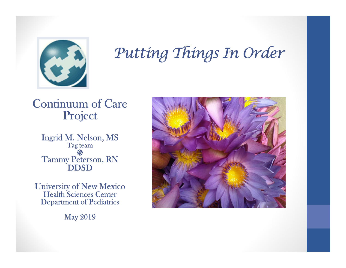

# Putting Things In Order

#### Continuum of Care Project

Ingrid M. Nelson, MS Tag team Tammy Peterson, RN<br>DDSD

University of New Mexico Health Sciences Center Department of Pediatrics

May 2019

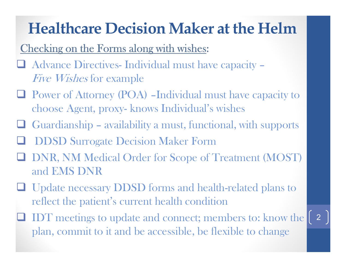# Healthcare Decision Maker at the Helm

### Checking on the Forms along with wishes:

- **Healthcare Decision Maker at the Helm**<br>Checking on the Forms along with wishes:<br>
<br>
<br> **a** Advance Directives- Individual must have capacity –<br> *Five Wishes* for example<br>
<br> **a** Power of Attorney (POA) –Individual must have Five Wishes for example
- Power of Attorney (POA) –Individual must have capacity to **Healthcare Decision Maker at the Heln**<br>ecking on the Forms along with wishes:<br>Advance Directives- Individual must have capacity -<br>*Five Wishes* for example<br>Power of Attorney (POA) -Individual must have capacity<br>choose Age **Healthcare Decision Maker at the Helm**<br>
Checking on the Forms along with wishes:<br>  $\square$  Advance Directives-Individual must have capacity –<br> *Five Wishes* for example<br>  $\square$  Power of Attorney (POA) -Individual must have cap
- 
- DDSD Surrogate Decision Maker Form
- **Q DNR, NM Medical Order for Scope of Treatment (MOST)** and EMS DNR
- Update necessary DDSD forms and health-related plans to reflect the patient's current health condition
- IDT meetings to update and connect; members to: know the plan, commit to it and be accessible, be flexible to change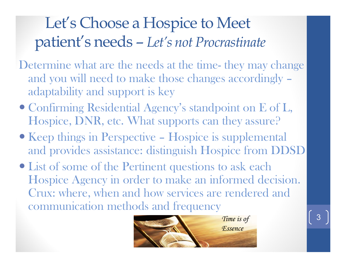# Let's Choose a Hospice to Meet patient's needs – Let's not Procrastinate

- Let's Choose a Hospice to Meet<br>patient's needs Let's not Procrastinate<br>Determine what are the needs at the time- they may change<br>and you will need to make those changes accordingly –<br>adaptability and support is key and you will need to make those changes accordingly – adaptability and support is key **patient's needs – Let's not Procrastinate**<br>
Determine what are the needs at the time- they may change<br>
and you will need to make those changes accordingly –<br>
adaptability and support is key<br>
• Confirming Residential Agen
- Confirming Residential Agency's standpoint on E of L, Hospice, DNR, etc. What supports can they assure?
- and provides assistance: distinguish Hospice from DDSD
- List of some of the Pertinent questions to ask each Hospice Agency in order to make an informed decision. Crux: where, when and how services are rendered and communication methods and frequency

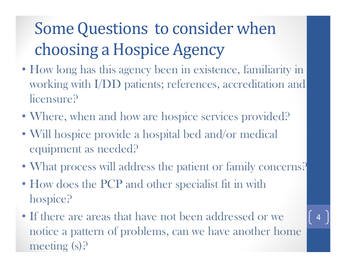# Some Questions to consider when choosing a Hospice Agency

- How long has this agency been in existence, familiarity in working with I/DD patients; references, accreditation and licensure?
- Where, when and how are hospice services provided?
- Will hospice provide a hospital bed and/or medical equipment as needed?
- What process will address the patient or family concerns?
- How does the PCP and other specialist fit in with hospice?
- If there are areas that have not been addressed or we notice a pattern of problems, can we have another home meeting (s)?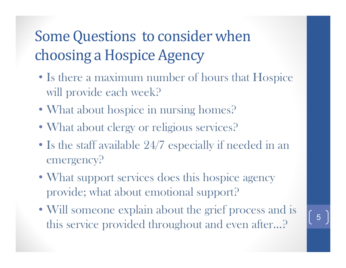## Some Questions to consider when choosing a Hospice Agency

- Is there a maximum number of hours that Hospice will provide each week?
- What about hospice in nursing homes?
- What about clergy or religious services?
- Is the staff available 24/7 especially if needed in an emergency?
- What support services does this hospice agency provide; what about emotional support?
- Will someone explain about the grief process and is this service provided throughout and even after...?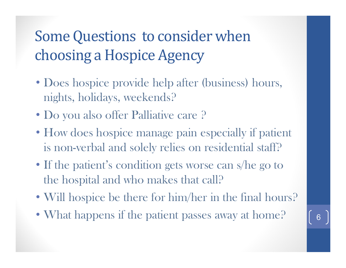## Some Questions to consider when choosing a Hospice Agency

- Does hospice provide help after (business) hours, nights, holidays, weekends?
- Do you also offer Palliative care ?
- How does hospice manage pain especially if patient is non-verbal and solely relies on residential staff?
- If the patient's condition gets worse can s/he go to the hospital and who makes that call?
- Will hospice be there for him/her in the final hours?
- What happens if the patient passes away at home?  $\begin{array}{|c|c|} \hline \textbf{6} & \textbf{6} \end{array}$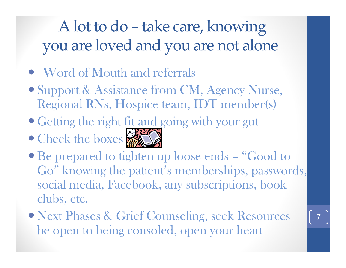# A lot to do – take care, knowing<br>u are loved and you are not alone you are loved and you are not alone

- Word of Mouth and referrals
- Support & Assistance from CM, Agency Nurse, Regional RNs, Hospice team, IDT member(s)
- Getting the right fit and going with your gut
- Check the boxes



- Word of Mouth and referrals<br>
 Support & Assistance from CM, Agency Nurse,<br>
Regional RNs, Hospice team, IDT member(s)<br>
 Getting the right fit and going with your gut<br>
 Check the boxes<br>
 Be prepared to tighten up loose Go" knowing the patient's memberships, passwords, social media, Facebook, any subscriptions, book clubs, etc.
- Next Phases & Grief Counseling, seek Resources be open to being consoled, open your heart